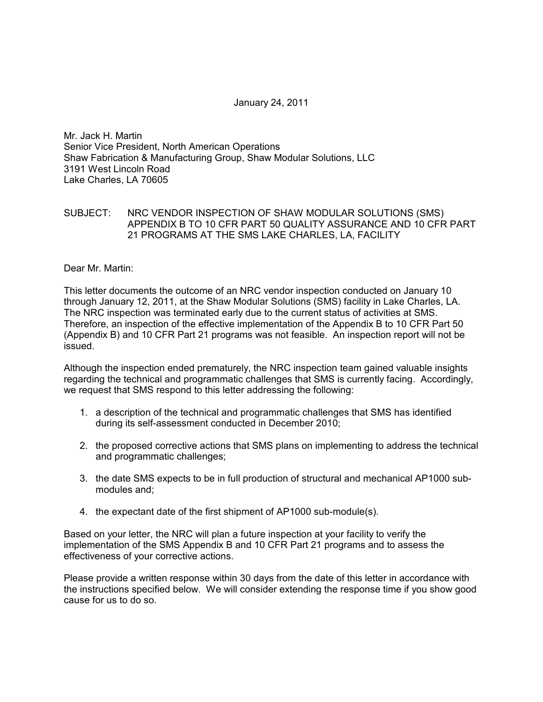## January 24, 2011

Mr. Jack H. Martin Senior Vice President, North American Operations Shaw Fabrication & Manufacturing Group, Shaw Modular Solutions, LLC 3191 West Lincoln Road Lake Charles, LA 70605

## SUBJECT: NRC VENDOR INSPECTION OF SHAW MODULAR SOLUTIONS (SMS) APPENDIX B TO 10 CFR PART 50 QUALITY ASSURANCE AND 10 CFR PART 21 PROGRAMS AT THE SMS LAKE CHARLES, LA, FACILITY

Dear Mr. Martin:

This letter documents the outcome of an NRC vendor inspection conducted on January 10 through January 12, 2011, at the Shaw Modular Solutions (SMS) facility in Lake Charles, LA. The NRC inspection was terminated early due to the current status of activities at SMS. Therefore, an inspection of the effective implementation of the Appendix B to 10 CFR Part 50 (Appendix B) and 10 CFR Part 21 programs was not feasible. An inspection report will not be issued.

Although the inspection ended prematurely, the NRC inspection team gained valuable insights regarding the technical and programmatic challenges that SMS is currently facing. Accordingly, we request that SMS respond to this letter addressing the following:

- 1. a description of the technical and programmatic challenges that SMS has identified during its self-assessment conducted in December 2010;
- 2. the proposed corrective actions that SMS plans on implementing to address the technical and programmatic challenges;
- 3. the date SMS expects to be in full production of structural and mechanical AP1000 submodules and;
- 4. the expectant date of the first shipment of AP1000 sub-module(s).

Based on your letter, the NRC will plan a future inspection at your facility to verify the implementation of the SMS Appendix B and 10 CFR Part 21 programs and to assess the effectiveness of your corrective actions.

Please provide a written response within 30 days from the date of this letter in accordance with the instructions specified below. We will consider extending the response time if you show good cause for us to do so.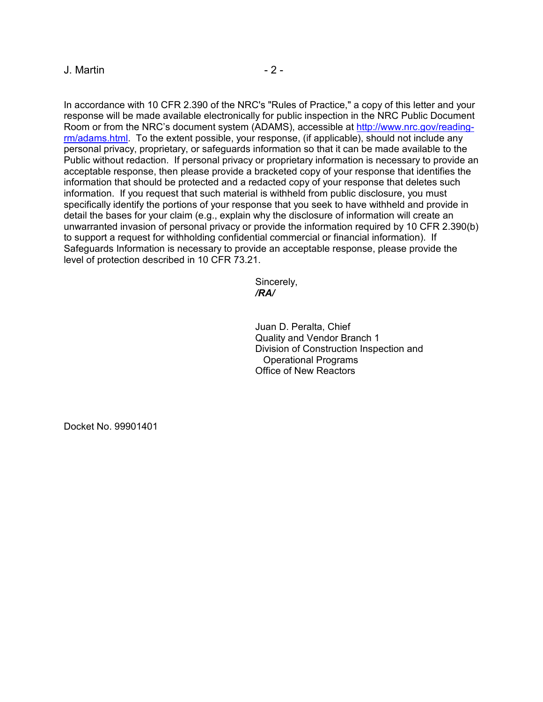# $J.$  Martin  $-2$  -

In accordance with 10 CFR 2.390 of the NRC's "Rules of Practice," a copy of this letter and your response will be made available electronically for public inspection in the NRC Public Document Room or from the NRC's document system (ADAMS), accessible at http://www.nrc.gov/readingrm/adams.html. To the extent possible, your response, (if applicable), should not include any personal privacy, proprietary, or safeguards information so that it can be made available to the Public without redaction. If personal privacy or proprietary information is necessary to provide an acceptable response, then please provide a bracketed copy of your response that identifies the information that should be protected and a redacted copy of your response that deletes such information. If you request that such material is withheld from public disclosure, you must specifically identify the portions of your response that you seek to have withheld and provide in detail the bases for your claim (e.g., explain why the disclosure of information will create an unwarranted invasion of personal privacy or provide the information required by 10 CFR 2.390(b) to support a request for withholding confidential commercial or financial information). If Safeguards Information is necessary to provide an acceptable response, please provide the level of protection described in 10 CFR 73.21.

Sincerely,  */RA/* 

> Juan D. Peralta, Chief Quality and Vendor Branch 1 Division of Construction Inspection and Operational Programs Office of New Reactors

Docket No. 99901401